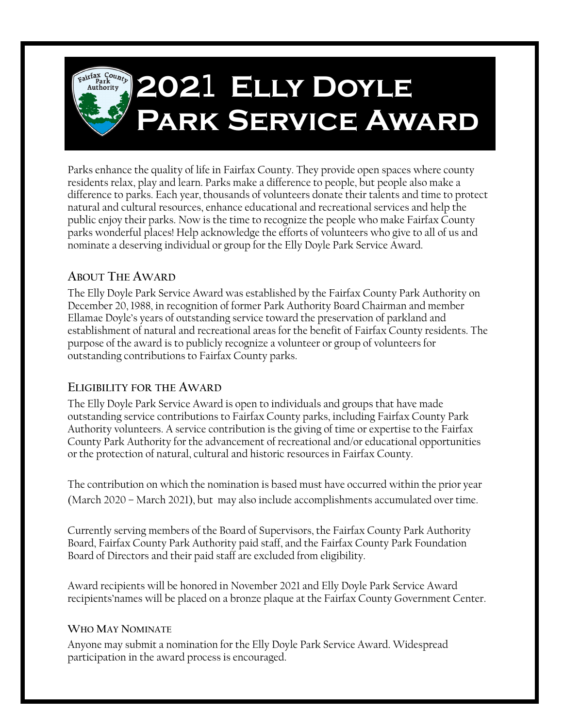

nominate a deserving individual or group for the Elly Doyle Park Service Award. parks wonderful places! Help acknowledge the efforts of volunteers who give to all of us and public enjoy their parks. Now is the time to recognize the people who make Fairfax County natural and cultural resources, enhance educational and recreational services and help the difference to parks. Each year, thousands of volunteers donate their talents and time to protect residents relax, play and learn. Parks make a difference to people, but people also make a Parks enhance the quality of life in Fairfax County. They provide open spaces where county

# **ABOUT THE AWARD**

outstanding contributions to Fairfax County parks. purpose of the award is to publicly recognize a volunteer or group of volunteers for establishment of natural and recreational areas for the benefit of Fairfax County residents. The Ellamae Doyle's years of outstanding service toward the preservation of parkland and December 20, 1988, in recognition of former Park Authority Board Chairman and member The Elly Doyle Park Service Award was established by the Fairfax County Park Authority on

## **ELIGIBILITY FOR THE AWARD**

or the protection of natural, cultural and historic resources in Fairfax County. County Park Authority for the advancement of recreational and/or educational opportunities Authority volunteers. A service contribution is the giving of time or expertise to the Fairfax outstanding service contributions to Fairfax County parks, including Fairfax County Park The Elly Doyle Park Service Award is open to individuals and groups that have made

(March 2020 – March 2021), but may also include accomplishments accumulated over time. The contribution on which the nomination is based must have occurred within the prior year

Board of Directors and their paid staff are excluded from eligibility. Board, Fairfax County Park Authority paid staff, and the Fairfax County Park Foundation Currently serving members of the Board of Supervisors, the Fairfax County Park Authority

recipients'names will be placed on a bronze plaque at the Fairfax County Government Center. Award recipients will be honored in November 2021 and Elly Doyle Park Service Award

## **WHO MAY NOMINATE**

participation in the award process is encouraged. Anyone may submit a nomination for the Elly Doyle Park Service Award. Widespread